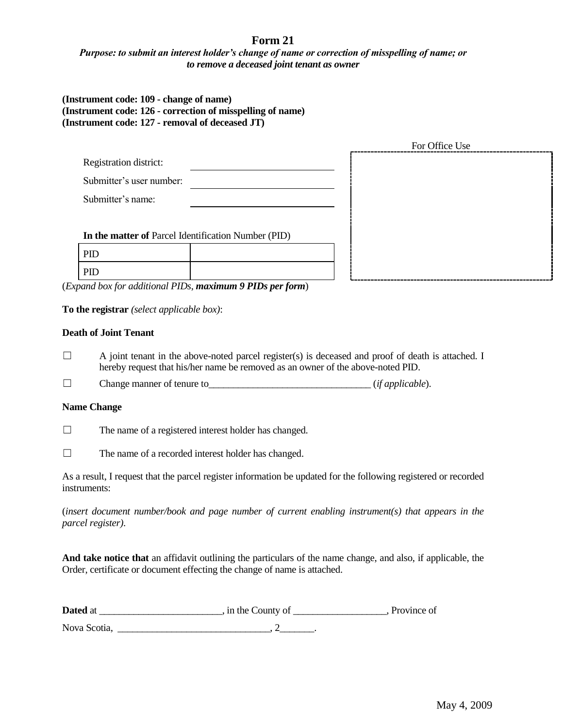# **Form 21**

## *Purpose: to submit an interest holder's change of name or correction of misspelling of name; or to remove a deceased joint tenant as owner*

## **(Instrument code: 109 - change of name) (Instrument code: 126 - correction of misspelling of name) (Instrument code: 127 - removal of deceased JT)**

|                                                     |  | For Office Use |  |
|-----------------------------------------------------|--|----------------|--|
| Registration district:                              |  |                |  |
| Submitter's user number:                            |  |                |  |
| Submitter's name:                                   |  |                |  |
|                                                     |  |                |  |
| In the matter of Parcel Identification Number (PID) |  |                |  |
| PID                                                 |  |                |  |
| PID                                                 |  |                |  |

(*Expand box for additional PIDs*, *maximum 9 PIDs per form*)

**To the registrar** *(select applicable box)*:

#### **Death of Joint Tenant**

- $\Box$  A joint tenant in the above-noted parcel register(s) is deceased and proof of death is attached. I hereby request that his/her name be removed as an owner of the above-noted PID.
- ☐ Change manner of tenure to\_\_\_\_\_\_\_\_\_\_\_\_\_\_\_\_\_\_\_\_\_\_\_\_\_\_\_\_\_\_\_\_\_ (*if applicable*).

#### **Name Change**

☐ The name of a registered interest holder has changed.

☐ The name of a recorded interest holder has changed.

As a result, I request that the parcel register information be updated for the following registered or recorded instruments:

(*insert document number/book and page number of current enabling instrument(s) that appears in the parcel register)*.

**And take notice that** an affidavit outlining the particulars of the name change, and also, if applicable, the Order, certificate or document effecting the change of name is attached.

| Dated at     | , in the County of | . Province of |
|--------------|--------------------|---------------|
| Nova Scotia, |                    |               |